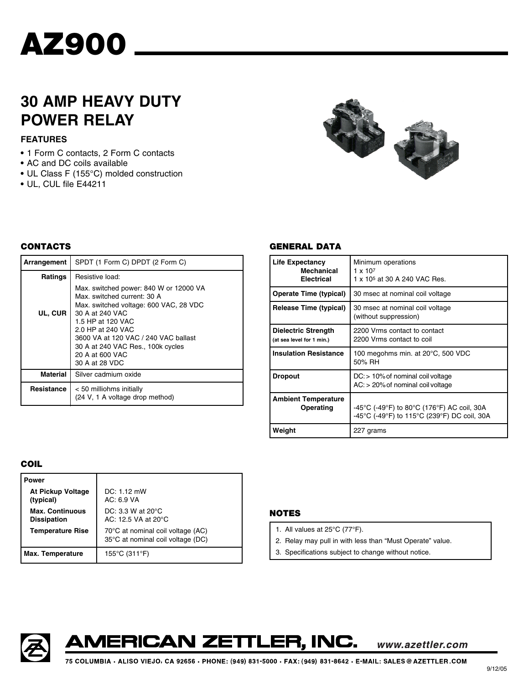

# **30 AMP HEAVY DUTY POWER RELAY**

# **FEATURES**

- **•** 1 Form C contacts, 2 Form C contacts
- **•** AC and DC coils available
- **•** UL Class F (155°C) molded construction
- **•** UL, CUL file E44211



### **CONTACTS**

| Arrangement     | SPDT (1 Form C) DPDT (2 Form C)                                                                                                                                                                                                                                                                |  |  |
|-----------------|------------------------------------------------------------------------------------------------------------------------------------------------------------------------------------------------------------------------------------------------------------------------------------------------|--|--|
| Ratings         | Resistive load:                                                                                                                                                                                                                                                                                |  |  |
| UL, CUR         | Max. switched power: 840 W or 12000 VA<br>Max. switched current: 30 A<br>Max. switched voltage: 600 VAC, 28 VDC<br>30 A at 240 VAC<br>1.5 HP at 120 VAC<br>2.0 HP at 240 VAC<br>3600 VA at 120 VAC / 240 VAC ballast<br>30 A at 240 VAC Res., 100k cycles<br>20 A at 600 VAC<br>30 A at 28 VDC |  |  |
| <b>Material</b> | Silver cadmium oxide                                                                                                                                                                                                                                                                           |  |  |
| Resistance      | < 50 milliohms initially<br>(24 V, 1 A voltage drop method)                                                                                                                                                                                                                                    |  |  |

#### **GENERAL DATA**

| <b>Life Expectancy</b><br><b>Mechanical</b><br><b>Electrical</b> | Minimum operations<br>$1 \times 10^{7}$<br>1 x 10 <sup>5</sup> at 30 A 240 VAC Res.       |  |  |
|------------------------------------------------------------------|-------------------------------------------------------------------------------------------|--|--|
| <b>Operate Time (typical)</b>                                    | 30 msec at nominal coil voltage                                                           |  |  |
| <b>Release Time (typical)</b>                                    | 30 msec at nominal coil voltage<br>(without suppression)                                  |  |  |
| Dielectric Strength<br>(at sea level for 1 min.)                 | 2200 Vrms contact to contact<br>2200 Vrms contact to coil                                 |  |  |
| <b>Insulation Resistance</b>                                     | 100 megohms min. at 20°C, 500 VDC<br>50% RH                                               |  |  |
| <b>Dropout</b>                                                   | $DC > 10\%$ of nominal coil voltage<br>$AC:$ > 20% of nominal coil voltage                |  |  |
| <b>Ambient Temperature</b><br>Operating                          | -45°C (-49°F) to 80°C (176°F) AC coil, 30A<br>-45°C (-49°F) to 115°C (239°F) DC coil, 30A |  |  |
| Weight                                                           | 227 grams                                                                                 |  |  |

#### **COIL**

| Power                                        |                                                                        |  |  |  |
|----------------------------------------------|------------------------------------------------------------------------|--|--|--|
| <b>At Pickup Voltage</b><br>(typical)        | $DC: 1.12$ mW<br>AC: 6.9 VA                                            |  |  |  |
| <b>Max. Continuous</b><br><b>Dissipation</b> | DC: 3.3 W at $20^{\circ}$ C<br>AC: 12.5 VA at 20°C                     |  |  |  |
| <b>Temperature Rise</b>                      | 70°C at nominal coil voltage (AC)<br>35°C at nominal coil voltage (DC) |  |  |  |
| <b>Max. Temperature</b>                      | 155°C (311°F)                                                          |  |  |  |

# **NOTES**

- 1. All values at 25°C (77°F).
- 2. Relay may pull in with less than "Must Operate" value.
- 3. Specifications subject to change without notice.





www.azettler.com